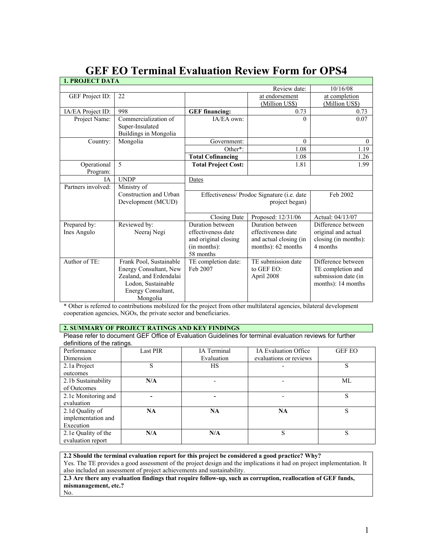| <b>1. PROJECT DATA</b>      |                                                                                                                                      |                                                                                             |                                                                                        |                                                                                      |
|-----------------------------|--------------------------------------------------------------------------------------------------------------------------------------|---------------------------------------------------------------------------------------------|----------------------------------------------------------------------------------------|--------------------------------------------------------------------------------------|
|                             |                                                                                                                                      |                                                                                             | Review date:                                                                           | 10/16/08                                                                             |
| GEF Project ID:             | 22                                                                                                                                   |                                                                                             | at endorsement<br>(Million US\$)                                                       | at completion<br>(Million US\$)                                                      |
| IA/EA Project ID:           | 998                                                                                                                                  | <b>GEF</b> financing:                                                                       | 0.73                                                                                   | 0.73                                                                                 |
| Project Name:               | Commercialization of<br>Super-Insulated<br>Buildings in Mongolia                                                                     | IA/EA own:                                                                                  | $\Omega$                                                                               | 0.07                                                                                 |
| Country:                    | Mongolia                                                                                                                             | Government:                                                                                 | $\theta$                                                                               | $\mathbf{0}$                                                                         |
|                             |                                                                                                                                      | Other*:                                                                                     | 1.08                                                                                   | 1.19                                                                                 |
|                             |                                                                                                                                      | <b>Total Cofinancing</b>                                                                    | 1.08                                                                                   | 1.26                                                                                 |
| Operational<br>Program:     | 5                                                                                                                                    | <b>Total Project Cost:</b>                                                                  | 1.81                                                                                   | 1.99                                                                                 |
| <b>IA</b>                   | <b>UNDP</b>                                                                                                                          | Dates                                                                                       |                                                                                        |                                                                                      |
| Partners involved:          | Ministry of                                                                                                                          |                                                                                             |                                                                                        |                                                                                      |
|                             | Construction and Urban<br>Development (MCUD)                                                                                         | Effectiveness/ Prodoc Signature (i.e. date<br>project began)                                |                                                                                        | Feb 2002                                                                             |
|                             |                                                                                                                                      | Closing Date                                                                                | Proposed: 12/31/06                                                                     | Actual: 04/13/07                                                                     |
| Prepared by:<br>Ines Angulo | Reviewed by:<br>Neeraj Negi                                                                                                          | Duration between<br>effectiveness date<br>and original closing<br>(in months):<br>58 months | Duration between<br>effectiveness date<br>and actual closing (in<br>months): 62 months | Difference between<br>original and actual<br>closing (in months):<br>4 months        |
| Author of TE:               | Frank Pool, Sustainable<br>Energy Consultant, New<br>Zealand, and Erdendalai<br>Lodon, Sustainable<br>Energy Consultant,<br>Mongolia | TE completion date:<br>Feb 2007                                                             | TE submission date<br>to GEF EO:<br>April 2008                                         | Difference between<br>TE completion and<br>submission date (in<br>months): 14 months |

# **GEF EO Terminal Evaluation Review Form for OPS4**

\* Other is referred to contributions mobilized for the project from other multilateral agencies, bilateral development cooperation agencies, NGOs, the private sector and beneficiaries.

# **2. SUMMARY OF PROJECT RATINGS AND KEY FINDINGS**

Please refer to document GEF Office of Evaluation Guidelines for terminal evaluation reviews for further definitions of the ratings.

| Performance         | <b>Last PIR</b> | IA Terminal | <b>IA Evaluation Office</b> | <b>GEF EO</b> |
|---------------------|-----------------|-------------|-----------------------------|---------------|
| Dimension           |                 | Evaluation  | evaluations or reviews      |               |
| 2.1a Project        | S               | НS          |                             | S             |
| outcomes            |                 |             |                             |               |
| 2.1b Sustainability | N/A             |             |                             | ML            |
| of Outcomes         |                 |             |                             |               |
| 2.1c Monitoring and |                 |             |                             | S             |
| evaluation          |                 |             |                             |               |
| 2.1d Quality of     | <b>NA</b>       | <b>NA</b>   | <b>NA</b>                   | S             |
| implementation and  |                 |             |                             |               |
| Execution           |                 |             |                             |               |
| 2.1e Quality of the | N/A             | N/A         | S                           | S             |
| evaluation report   |                 |             |                             |               |

**2.2 Should the terminal evaluation report for this project be considered a good practice? Why?** Yes. The TE provides a good assessment of the project design and the implications it had on project implementation. It also included an assessment of project achievements and sustainability.

**2.3 Are there any evaluation findings that require follow-up, such as corruption, reallocation of GEF funds, mismanagement, etc.?**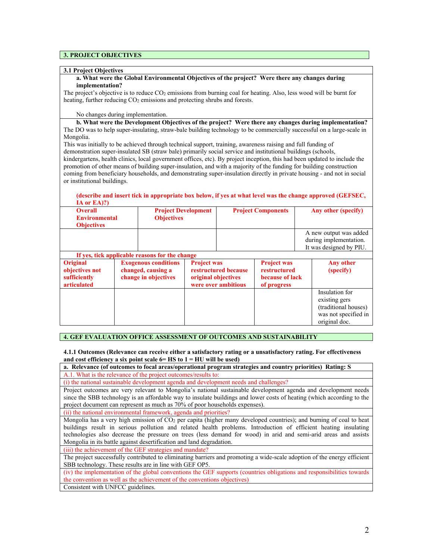# **3. PROJECT OBJECTIVES**

### **3.1 Project Objectives**

**a. What were the Global Environmental Objectives of the project? Were there any changes during implementation?** 

The project's objective is to reduce CO2 emissions from burning coal for heating. Also, less wood will be burnt for heating, further reducing CO<sub>2</sub> emissions and protecting shrubs and forests.

No changes during implementation.

**b. What were the Development Objectives of the project? Were there any changes during implementation?** The DO was to help super-insulating, straw-bale building technology to be commercially successful on a large-scale in Mongolia.

This was initially to be achieved through technical support, training, awareness raising and full funding of demonstration super-insulated SB (straw bale) primarily social service and institutional buildings (schools, kindergartens, health clinics, local government offices, etc). By project inception, this had been updated to include the promotion of other means of building super-insulation, and with a majority of the funding for building construction coming from beneficiary households, and demonstrating super-insulation directly in private housing - and not in social or institutional buildings.

#### **(describe and insert tick in appropriate box below, if yes at what level was the change approved (GEFSEC, IA or EA)?)**

| <b>Overall</b><br><b>Environmental</b><br><b>Objectives</b> | <b>Project Development</b><br><b>Objectives</b> | <b>Project Components</b> | Any other (specify)                                                         |
|-------------------------------------------------------------|-------------------------------------------------|---------------------------|-----------------------------------------------------------------------------|
|                                                             |                                                 |                           | A new output was added<br>during implementation.<br>It was designed by PIU. |

| If yes, tick applicable reasons for the change                   |                                                                           |                                                                                          |                                                                      |                                                                                                  |
|------------------------------------------------------------------|---------------------------------------------------------------------------|------------------------------------------------------------------------------------------|----------------------------------------------------------------------|--------------------------------------------------------------------------------------------------|
| <b>Original</b><br>objectives not<br>sufficiently<br>articulated | <b>Exogenous conditions</b><br>changed, causing a<br>change in objectives | <b>Project was</b><br>restructured because<br>original objectives<br>were over ambitious | <b>Project was</b><br>restructured<br>because of lack<br>of progress | Any other<br>(specify)                                                                           |
|                                                                  |                                                                           |                                                                                          |                                                                      | Insulation for<br>existing gers<br>(traditional houses)<br>was not specified in<br>original doc. |

## **4. GEF EVALUATION OFFICE ASSESSMENT OF OUTCOMES AND SUSTAINABILITY**

**4.1.1 Outcomes (Relevance can receive either a satisfactory rating or a unsatisfactory rating. For effectiveness and cost efficiency a six point scale 6= HS to 1 = HU will be used)** 

| a. Relevance (of outcomes to focal areas/operational program strategies and country priorities) Rating: S      |
|----------------------------------------------------------------------------------------------------------------|
| A.1. What is the relevance of the project outcomes/results to:                                                 |
| (i) the national sustainable development agenda and development needs and challenges?                          |
| Project outcomes are very relevant to Mongolia's national sustainable development agenda and development needs |

since the SBB technology is an affordable way to insulate buildings and lower costs of heating (which according to the project document can represent as much as 70% of poor households expenses).

(ii) the national environmental framework, agenda and priorities?

Mongolia has a very high emission of CO2 per capita (higher many developed countries); and burning of coal to heat buildings result in serious pollution and related health problems. Introduction of efficient heating insulating technologies also decrease the pressure on trees (less demand for wood) in arid and semi-arid areas and assists Mongolia in its battle against desertification and land degradation.

(iii) the achievement of the GEF strategies and mandate?

The project successfully contributed to eliminating barriers and promoting a wide-scale adoption of the energy efficient SBB technology. These results are in line with GEF OP5.

(iv) the implementation of the global conventions the GEF supports (countries obligations and responsibilities towards the convention as well as the achievement of the conventions objectives)

Consistent with UNFCC guidelines.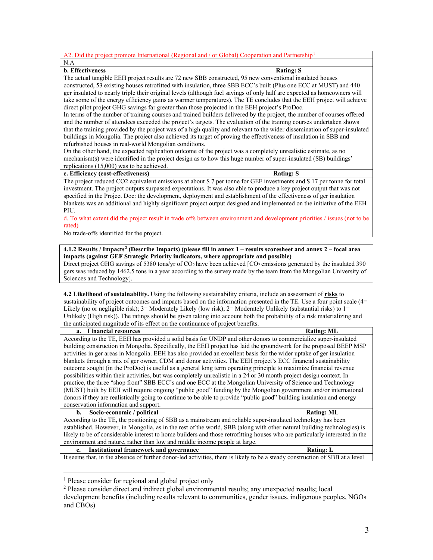| A2. Did the project promote International (Regional and / or Global) Cooperation and Partnership <sup>1</sup>                   |  |  |  |  |
|---------------------------------------------------------------------------------------------------------------------------------|--|--|--|--|
| N.A                                                                                                                             |  |  |  |  |
| <b>b.</b> Effectiveness<br><b>Rating: S</b>                                                                                     |  |  |  |  |
| The actual tangible EEH project results are 72 new SBB constructed, 95 new conventional insulated houses                        |  |  |  |  |
| constructed, 53 existing houses retrofitted with insulation, three SBB ECC's built (Plus one ECC at MUST) and 440               |  |  |  |  |
| ger insulated to nearly triple their original levels (although fuel savings of only half are expected as homeowners will        |  |  |  |  |
| take some of the energy efficiency gains as warmer temperatures). The TE concludes that the EEH project will achieve            |  |  |  |  |
| direct pilot project GHG savings far greater than those projected in the EEH project's ProDoc.                                  |  |  |  |  |
| In terms of the number of training courses and trained builders delivered by the project, the number of courses offered         |  |  |  |  |
| and the number of attendees exceeded the project's targets. The evaluation of the training courses undertaken shows             |  |  |  |  |
| that the training provided by the project was of a high quality and relevant to the wider dissemination of super-insulated      |  |  |  |  |
| buildings in Mongolia. The project also achieved its target of proving the effectiveness of insulation in SBB and               |  |  |  |  |
| refurbished houses in real-world Mongolian conditions.                                                                          |  |  |  |  |
| On the other hand, the expected replication outcome of the project was a completely unrealistic estimate, as no                 |  |  |  |  |
| mechanism(s) were identified in the project design as to how this huge number of super-insulated (SB) buildings'                |  |  |  |  |
| replications $(15,000)$ was to be achieved.                                                                                     |  |  |  |  |
| c. Efficiency (cost-effectiveness)<br><b>Rating: S</b>                                                                          |  |  |  |  |
| The project reduced CO2 equivalent emissions at about \$7 per tonne for GEF investments and \$17 per tonne for total            |  |  |  |  |
| investment. The project outputs surpassed expectations. It was also able to produce a key project output that was not           |  |  |  |  |
| specified in the Project Doc: the development, deployment and establishment of the effectiveness of ger insulation              |  |  |  |  |
| blankets was an additional and highly significant project output designed and implemented on the initiative of the EEH          |  |  |  |  |
| PIU.                                                                                                                            |  |  |  |  |
| d. To what extent did the project result in trade offs between environment and development priorities / issues (not to be       |  |  |  |  |
| rated)                                                                                                                          |  |  |  |  |
| No trade-offs identified for the project.                                                                                       |  |  |  |  |
|                                                                                                                                 |  |  |  |  |
| $1.412$ Results / Imnacts <sup>2</sup> (Describe Imnacts) (please fill in anney 1 – results scoresheet and anney 2 – focal area |  |  |  |  |

**esults / Impacts<sup>[2](#page-2-1)</sup> (Describe Impacts) (please fill in annex 1 – results scoresheet and annex 2 – impacts (against GEF Strategic Priority indicators, where appropriate and possible)**

Direct project GHG savings of 5380 tons/yr of CO<sub>2</sub> have been achieved [CO<sub>2</sub> emissions generated by the insulated 390 gers was reduced by 1462.5 tons in a year according to the survey made by the team from the Mongolian University of Sciences and Technology].

**4.2 Likelihood of sustainability.** Using the following sustainability criteria, include an assessment of **risks** to sustainability of project outcomes and impacts based on the information presented in the TE. Use a four point scale (4= Likely (no or negligible risk);  $3=$  Moderately Likely (low risk);  $2=$  Moderately Unlikely (substantial risks) to  $1=$ Unlikely (High risk)). The ratings should be given taking into account both the probability of a risk materializing and the anticipated magnitude of its effect on the continuance of project benefits.

| a. Financial resources                                                                                                      | <b>Rating: ML</b> |
|-----------------------------------------------------------------------------------------------------------------------------|-------------------|
| According to the TE, EEH has provided a solid basis for UNDP and other donors to commercialize super-insulated              |                   |
| building construction in Mongolia. Specifically, the EEH project has laid the groundwork for the proposed BEEP MSP          |                   |
| activities in ger areas in Mongolia. EEH has also provided an excellent basis for the wider uptake of ger insulation        |                   |
| blankets through a mix of ger owner, CDM and donor activities. The EEH project's ECC financial sustainability               |                   |
| outcome sought (in the ProDoc) is useful as a general long term operating principle to maximize financial revenue           |                   |
| possibilities within their activities, but was completely unrealistic in a 24 or 30 month project design context. In        |                   |
| practice, the three "shop front" SBB ECC's and one ECC at the Mongolian University of Science and Technology                |                   |
| (MUST) built by EEH will require ongoing "public good" funding by the Mongolian government and/or international             |                   |
| donors if they are realistically going to continue to be able to provide "public good" building insulation and energy       |                   |
| conservation information and support.                                                                                       |                   |
| Socio-economic / political<br>b.                                                                                            | <b>Rating: ML</b> |
| According to the TE, the positioning of SBB as a mainstream and reliable super-insulated technology has been                |                   |
| established. However, in Mongolia, as in the rest of the world, SBB (along with other natural building technologies) is     |                   |
| likely to be of considerable interest to home builders and those retrofitting houses who are particularly interested in the |                   |
|                                                                                                                             |                   |

environment and nature, rather than low and middle income people at large. **c. Institutional framework and governance Rating: L**

It seems that, in the absence of further donor-led activities, there is likely to be a steady construction of SBB at a level

 $\overline{a}$ 

<sup>&</sup>lt;sup>1</sup> Please consider for regional and global project only

<span id="page-2-1"></span><span id="page-2-0"></span><sup>&</sup>lt;sup>2</sup> Please consider direct and indirect global environmental results; any unexpected results; local

development benefits (including results relevant to communities, gender issues, indigenous peoples, NGOs and CBOs)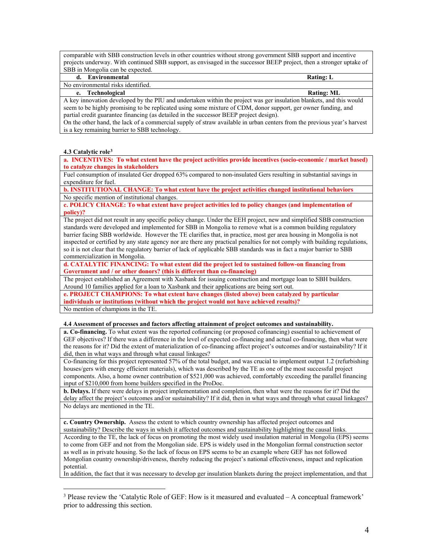comparable with SBB construction levels in other countries without strong government SBB support and incentive projects underway. With continued SBB support, as envisaged in the successor BEEP project, then a stronger uptake of SBB in Mongolia can be expected.

**d. Environmental Rating: L**

No environmental risks identified.

**e. Technological Rating: ML**

A key innovation developed by the PIU and undertaken within the project was ger insulation blankets, and this would seem to be highly promising to be replicated using some mixture of CDM, donor support, ger owner funding, and partial credit guarantee financing (as detailed in the successor BEEP project design).

On the other hand, the lack of a commercial supply of straw available in urban centers from the previous year's harvest is a key remaining barrier to SBB technology.

#### **4.3 Catalytic role[3](#page-3-0)**

 $\overline{a}$ 

**a. INCENTIVES: To what extent have the project activities provide incentives (socio-economic / market based) to catalyze changes in stakeholders** 

Fuel consumption of insulated Ger dropped 63% compared to non-insulated Gers resulting in substantial savings in expenditure for fuel.

**b. INSTITUTIONAL CHANGE: To what extent have the project activities changed institutional behaviors**  No specific mention of institutional changes.

**c. POLICY CHANGE: To what extent have project activities led to policy changes (and implementation of policy)?**

The project did not result in any specific policy change. Under the EEH project, new and simplified SBB construction standards were developed and implemented for SBB in Mongolia to remove what is a common building regulatory barrier facing SBB worldwide. However the TE clarifies that, in practice, most ger area housing in Mongolia is not inspected or certified by any state agency nor are there any practical penalties for not comply with building regulations, so it is not clear that the regulatory barrier of lack of applicable SBB standards was in fact a major barrier to SBB commercialization in Mongolia.

**d. CATALYTIC FINANCING: To what extent did the project led to sustained follow-on financing from Government and / or other donors? (this is different than co-financing)**

The project established an Agreement with Xasbank for issuing construction and mortgage loan to SBH builders. Around 10 families applied for a loan to Xasbank and their applications are being sort out.

**e. PROJECT CHAMPIONS: To what extent have changes (listed above) been catalyzed by particular individuals or institutions (without which the project would not have achieved results)?** No mention of champions in the TE.

#### **4.4 Assessment of processes and factors affecting attainment of project outcomes and sustainability.**

**a. Co-financing.** To what extent was the reported cofinancing (or proposed cofinancing) essential to achievement of GEF objectives? If there was a difference in the level of expected co-financing and actual co-financing, then what were the reasons for it? Did the extent of materialization of co-financing affect project's outcomes and/or sustainability? If it did, then in what ways and through what causal linkages?

Co-financing for this project represented 57% of the total budget, and was crucial to implement output 1.2 (refurbishing houses/gers with energy efficient materials), which was described by the TE as one of the most successful project components. Also, a home owner contribution of \$521,000 was achieved, comfortably exceeding the parallel financing input of \$210,000 from home builders specified in the ProDoc.

**b. Delays.** If there were delays in project implementation and completion, then what were the reasons for it? Did the delay affect the project's outcomes and/or sustainability? If it did, then in what ways and through what causal linkages? No delays are mentioned in the TE.

**c. Country Ownership.** Assess the extent to which country ownership has affected project outcomes and

sustainability? Describe the ways in which it affected outcomes and sustainability highlighting the causal links. According to the TE, the lack of focus on promoting the most widely used insulation material in Mongolia (EPS) seems to come from GEF and not from the Mongolian side. EPS is widely used in the Mongolian formal construction sector as well as in private housing. So the lack of focus on EPS seems to be an example where GEF has not followed Mongolian country ownership/driveness, thereby reducing the project's national effectiveness, impact and replication potential.

In addition, the fact that it was necessary to develop ger insulation blankets during the project implementation, and that

<span id="page-3-0"></span><sup>&</sup>lt;sup>3</sup> Please review the 'Catalytic Role of GEF: How is it measured and evaluated  $-A$  conceptual framework' prior to addressing this section.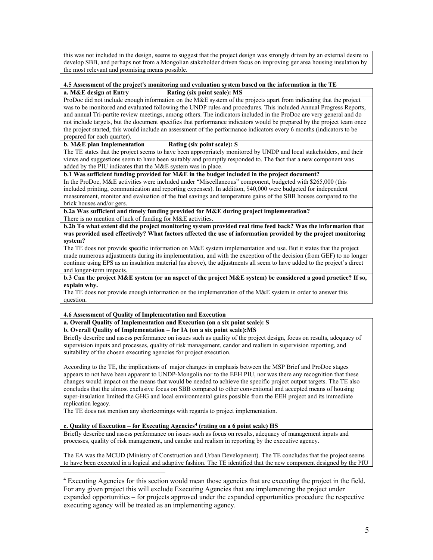this was not included in the design, seems to suggest that the project design was strongly driven by an external desire to develop SBB, and perhaps not from a Mongolian stakeholder driven focus on improving ger area housing insulation by the most relevant and promising means possible.

### **4.5 Assessment of the project's monitoring and evaluation system based on the information in the TE**

## **a. M&E design at Entry Rating (six point scale): MS**

ProDoc did not include enough information on the M&E system of the projects apart from indicating that the project was to be monitored and evaluated following the UNDP rules and procedures. This included Annual Progress Reports, and annual Tri-partite review meetings, among others. The indicators included in the ProDoc are very general and do not include targets, but the document specifies that performance indicators would be prepared by the project team once the project started, this would include an assessment of the performance indicators every 6 months (indicators to be prepared for each quarter).

### **b. M&E plan Implementation Rating (six point scale): S**

The TE states that the project seems to have been appropriately monitored by UNDP and local stakeholders, and their views and suggestions seem to have been suitably and promptly responded to. The fact that a new component was added by the PIU indicates that the M&E system was in place.

# **b.1 Was sufficient funding provided for M&E in the budget included in the project document?**

In the ProDoc, M&E activities were included under "Miscellaneous" component, budgeted with \$265,000 (this included printing, communication and reporting expenses). In addition, \$40,000 were budgeted for independent measurement, monitor and evaluation of the fuel savings and temperature gains of the SBB houses compared to the brick houses and/or gers.

**b.2a Was sufficient and timely funding provided for M&E during project implementation?** There is no mention of lack of funding for M&E activities.

**b.2b To what extent did the project monitoring system provided real time feed back? Was the information that was provided used effectively? What factors affected the use of information provided by the project monitoring system?**

The TE does not provide specific information on M&E system implementation and use. But it states that the project made numerous adjustments during its implementation, and with the exception of the decision (from GEF) to no longer continue using EPS as an insulation material (as above), the adjustments all seem to have added to the project's direct and longer-term impacts.

#### **b.3 Can the project M&E system (or an aspect of the project M&E system) be considered a good practice? If so, explain why.**

The TE does not provide enough information on the implementation of the M&E system in order to answer this question.

# **4.6 Assessment of Quality of Implementation and Execution**

 $\overline{a}$ 

**a. Overall Quality of Implementation and Execution (on a six point scale): S**

## **b. Overall Quality of Implementation – for IA (on a six point scale):MS**

Briefly describe and assess performance on issues such as quality of the project design, focus on results, adequacy of supervision inputs and processes, quality of risk management, candor and realism in supervision reporting, and suitability of the chosen executing agencies for project execution.

According to the TE, the implications of major changes in emphasis between the MSP Brief and ProDoc stages appears to not have been apparent to UNDP-Mongolia nor to the EEH PIU, nor was there any recognition that these changes would impact on the means that would be needed to achieve the specific project output targets. The TE also concludes that the almost exclusive focus on SBB compared to other conventional and accepted means of housing super-insulation limited the GHG and local environmental gains possible from the EEH project and its immediate replication legacy.

The TE does not mention any shortcomings with regards to project implementation.

#### **c. Quality of Execution – for Executing Agencies[4](#page-4-0) (rating on a 6 point scale) HS**

Briefly describe and assess performance on issues such as focus on results, adequacy of management inputs and processes, quality of risk management, and candor and realism in reporting by the executive agency.

The EA was the MCUD (Ministry of Construction and Urban Development). The TE concludes that the project seems to have been executed in a logical and adaptive fashion. The TE identified that the new component designed by the PIU

<span id="page-4-0"></span><sup>4</sup> Executing Agencies for this section would mean those agencies that are executing the project in the field. For any given project this will exclude Executing Agencies that are implementing the project under expanded opportunities – for projects approved under the expanded opportunities procedure the respective executing agency will be treated as an implementing agency.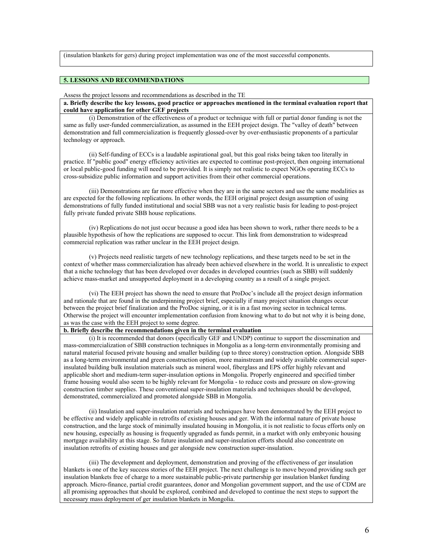(insulation blankets for gers) during project implementation was one of the most successful components.

# **5. LESSONS AND RECOMMENDATIONS**

#### Assess the project lessons and recommendations as described in the TE

**a. Briefly describe the key lessons, good practice or approaches mentioned in the terminal evaluation report that could have application for other GEF projects**

(i) Demonstration of the effectiveness of a product or technique with full or partial donor funding is not the same as fully user-funded commercialization, as assumed in the EEH project design. The "valley of death" between demonstration and full commercialization is frequently glossed-over by over-enthusiastic proponents of a particular technology or approach.

(ii) Self-funding of ECCs is a laudable aspirational goal, but this goal risks being taken too literally in practice. If "public good" energy efficiency activities are expected to continue post-project, then ongoing international or local public-good funding will need to be provided. It is simply not realistic to expect NGOs operating ECCs to cross-subsidize public information and support activities from their other commercial operations.

(iii) Demonstrations are far more effective when they are in the same sectors and use the same modalities as are expected for the following replications. In other words, the EEH original project design assumption of using demonstrations of fully funded institutional and social SBB was not a very realistic basis for leading to post-project fully private funded private SBB house replications.

(iv) Replications do not just occur because a good idea has been shown to work, rather there needs to be a plausible hypothesis of how the replications are supposed to occur. This link from demonstration to widespread commercial replication was rather unclear in the EEH project design.

(v) Projects need realistic targets of new technology replications, and these targets need to be set in the context of whether mass commercialization has already been achieved elsewhere in the world. It is unrealistic to expect that a niche technology that has been developed over decades in developed countries (such as SBB) will suddenly achieve mass-market and unsupported deployment in a developing country as a result of a single project.

(vi) The EEH project has shown the need to ensure that ProDoc's include all the project design information and rationale that are found in the underpinning project brief, especially if many project situation changes occur between the project brief finalization and the ProDoc signing, or it is in a fast moving sector in technical terms. Otherwise the project will encounter implementation confusion from knowing what to do but not why it is being done, as was the case with the EEH project to some degree.

### **b. Briefly describe the recommendations given in the terminal evaluation**

(i) It is recommended that donors (specifically GEF and UNDP) continue to support the dissemination and mass-commercialization of SBB construction techniques in Mongolia as a long-term environmentally promising and natural material focused private housing and smaller building (up to three storey) construction option. Alongside SBB as a long-term environmental and green construction option, more mainstream and widely available commercial superinsulated building bulk insulation materials such as mineral wool, fiberglass and EPS offer highly relevant and applicable short and medium-term super-insulation options in Mongolia. Properly engineered and specified timber frame housing would also seem to be highly relevant for Mongolia - to reduce costs and pressure on slow-growing construction timber supplies. These conventional super-insulation materials and techniques should be developed, demonstrated, commercialized and promoted alongside SBB in Mongolia.

(ii) Insulation and super-insulation materials and techniques have been demonstrated by the EEH project to be effective and widely applicable in retrofits of existing houses and ger. With the informal nature of private house construction, and the large stock of minimally insulated housing in Mongolia, it is not realistic to focus efforts only on new housing, especially as housing is frequently upgraded as funds permit, in a market with only embryonic housing mortgage availability at this stage. So future insulation and super-insulation efforts should also concentrate on insulation retrofits of existing houses and ger alongside new construction super-insulation.

(iii) The development and deployment, demonstration and proving of the effectiveness of ger insulation blankets is one of the key success stories of the EEH project. The next challenge is to move beyond providing such ger insulation blankets free of charge to a more sustainable public-private partnership ger insulation blanket funding approach. Micro-finance, partial credit guarantees, donor and Mongolian government support, and the use of CDM are all promising approaches that should be explored, combined and developed to continue the next steps to support the necessary mass deployment of ger insulation blankets in Mongolia.